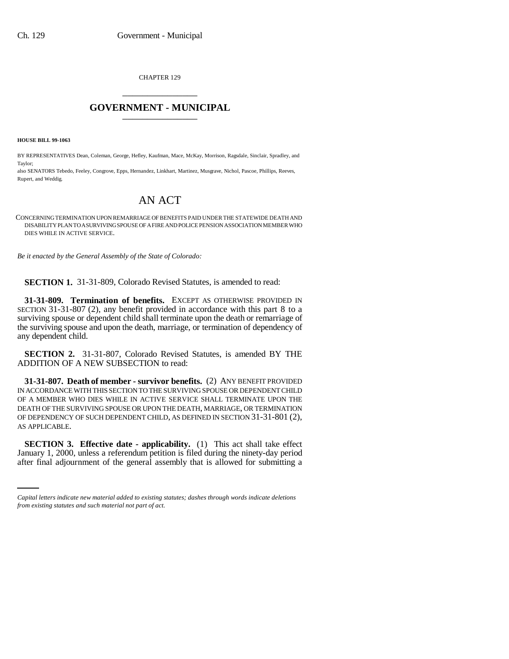CHAPTER 129 \_\_\_\_\_\_\_\_\_\_\_\_\_\_\_

## **GOVERNMENT - MUNICIPAL** \_\_\_\_\_\_\_\_\_\_\_\_\_\_\_

**HOUSE BILL 99-1063** 

BY REPRESENTATIVES Dean, Coleman, George, Hefley, Kaufman, Mace, McKay, Morrison, Ragsdale, Sinclair, Spradley, and Taylor;

also SENATORS Tebedo, Feeley, Congrove, Epps, Hernandez, Linkhart, Martinez, Musgrave, Nichol, Pascoe, Phillips, Reeves, Rupert, and Weddig.

## AN ACT

CONCERNING TERMINATION UPON REMARRIAGE OF BENEFITS PAID UNDER THE STATEWIDE DEATH AND DISABILITY PLAN TO A SURVIVING SPOUSE OF A FIRE AND POLICE PENSION ASSOCIATION MEMBER WHO DIES WHILE IN ACTIVE SERVICE.

*Be it enacted by the General Assembly of the State of Colorado:*

**SECTION 1.** 31-31-809, Colorado Revised Statutes, is amended to read:

**31-31-809. Termination of benefits.** EXCEPT AS OTHERWISE PROVIDED IN SECTION 31-31-807 (2), any benefit provided in accordance with this part 8 to a surviving spouse or dependent child shall terminate upon the death or remarriage of the surviving spouse and upon the death, marriage, or termination of dependency of any dependent child.

**SECTION 2.** 31-31-807, Colorado Revised Statutes, is amended BY THE ADDITION OF A NEW SUBSECTION to read:

**31-31-807. Death of member - survivor benefits.** (2) ANY BENEFIT PROVIDED IN ACCORDANCE WITH THIS SECTION TO THE SURVIVING SPOUSE OR DEPENDENT CHILD OF A MEMBER WHO DIES WHILE IN ACTIVE SERVICE SHALL TERMINATE UPON THE DEATH OF THE SURVIVING SPOUSE OR UPON THE DEATH, MARRIAGE, OR TERMINATION OF DEPENDENCY OF SUCH DEPENDENT CHILD, AS DEFINED IN SECTION 31-31-801 (2), AS APPLICABLE.

 **SECTION 3. Effective date - applicability.** (1) This act shall take effect January 1, 2000, unless a referendum petition is filed during the ninety-day period after final adjournment of the general assembly that is allowed for submitting a

*Capital letters indicate new material added to existing statutes; dashes through words indicate deletions from existing statutes and such material not part of act.*